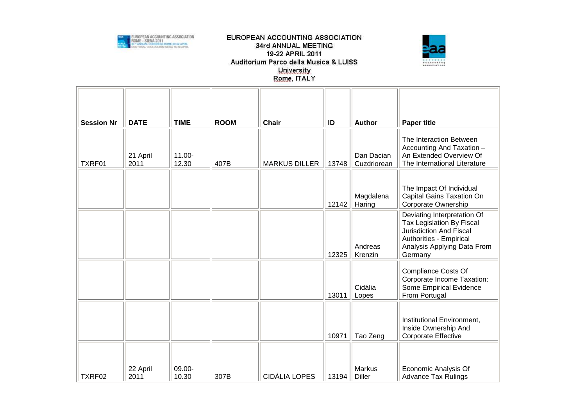

## EUROPEAN ACCOUNTING ASSOCIATION 34rd ANNUAL MEETING 19-22 APRIL 2011 Auditorium Parco della Musica & LUISS University Rome, ITALY



| <b>Session Nr</b> | <b>DATE</b>      | <b>TIME</b>        | <b>ROOM</b> | <b>Chair</b>         | ID    | <b>Author</b>             | <b>Paper title</b>                                                                                                                                              |
|-------------------|------------------|--------------------|-------------|----------------------|-------|---------------------------|-----------------------------------------------------------------------------------------------------------------------------------------------------------------|
| TXRF01            | 21 April<br>2011 | $11.00 -$<br>12.30 | 407B        | <b>MARKUS DILLER</b> | 13748 | Dan Dacian<br>Cuzdriorean | The Interaction Between<br>Accounting And Taxation -<br>An Extended Overview Of<br>The International Literature                                                 |
|                   |                  |                    |             |                      | 12142 | Magdalena<br>Haring       | The Impact Of Individual<br>Capital Gains Taxation On<br>Corporate Ownership                                                                                    |
|                   |                  |                    |             |                      | 12325 | Andreas<br>Krenzin        | Deviating Interpretation Of<br>Tax Legislation By Fiscal<br><b>Jurisdiction And Fiscal</b><br>Authorities - Empirical<br>Analysis Applying Data From<br>Germany |
|                   |                  |                    |             |                      | 13011 | Cidália<br>Lopes          | <b>Compliance Costs Of</b><br>Corporate Income Taxation:<br>Some Empirical Evidence<br>From Portugal                                                            |
|                   |                  |                    |             |                      | 10971 | Tao Zeng                  | Institutional Environment,<br>Inside Ownership And<br><b>Corporate Effective</b>                                                                                |
| TXRF02            | 22 April<br>2011 | 09.00-<br>10.30    | 307B        | <b>CIDÁLIA LOPES</b> | 13194 | Markus<br><b>Diller</b>   | Economic Analysis Of<br><b>Advance Tax Rulings</b>                                                                                                              |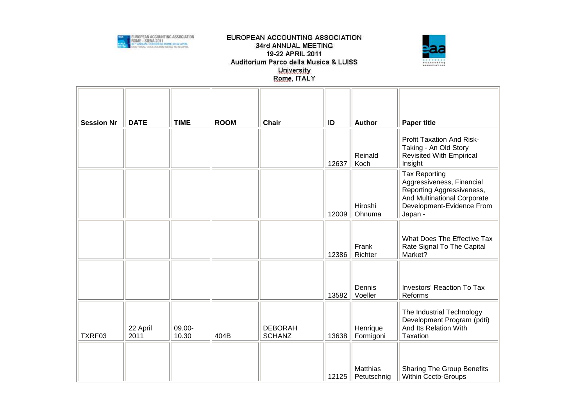

## EUROPEAN ACCOUNTING ASSOCIATION 34rd ANNUAL MEETING 19-22 APRIL 2011 Auditorium Parco della Musica & LUISS University Rome, ITALY



| <b>Session Nr</b> | <b>DATE</b>      | <b>TIME</b>     | <b>ROOM</b> | <b>Chair</b>                    | ID    | <b>Author</b>           | <b>Paper title</b>                                                                                                                                    |
|-------------------|------------------|-----------------|-------------|---------------------------------|-------|-------------------------|-------------------------------------------------------------------------------------------------------------------------------------------------------|
|                   |                  |                 |             |                                 | 12637 | Reinald<br>Koch         | Profit Taxation And Risk-<br>Taking - An Old Story<br><b>Revisited With Empirical</b><br>Insight                                                      |
|                   |                  |                 |             |                                 | 12009 | Hiroshi<br>Ohnuma       | <b>Tax Reporting</b><br>Aggressiveness, Financial<br>Reporting Aggressiveness,<br>And Multinational Corporate<br>Development-Evidence From<br>Japan - |
|                   |                  |                 |             |                                 | 12386 | Frank<br>Richter        | What Does The Effective Tax<br>Rate Signal To The Capital<br>Market?                                                                                  |
|                   |                  |                 |             |                                 | 13582 | Dennis<br>Voeller       | <b>Investors' Reaction To Tax</b><br>Reforms                                                                                                          |
| TXRF03            | 22 April<br>2011 | 09.00-<br>10.30 | 404B        | <b>DEBORAH</b><br><b>SCHANZ</b> | 13638 | Henrique<br>Formigoni   | The Industrial Technology<br>Development Program (pdti)<br>And Its Relation With<br>Taxation                                                          |
|                   |                  |                 |             |                                 | 12125 | Matthias<br>Petutschnig | <b>Sharing The Group Benefits</b><br><b>Within Ccctb-Groups</b>                                                                                       |